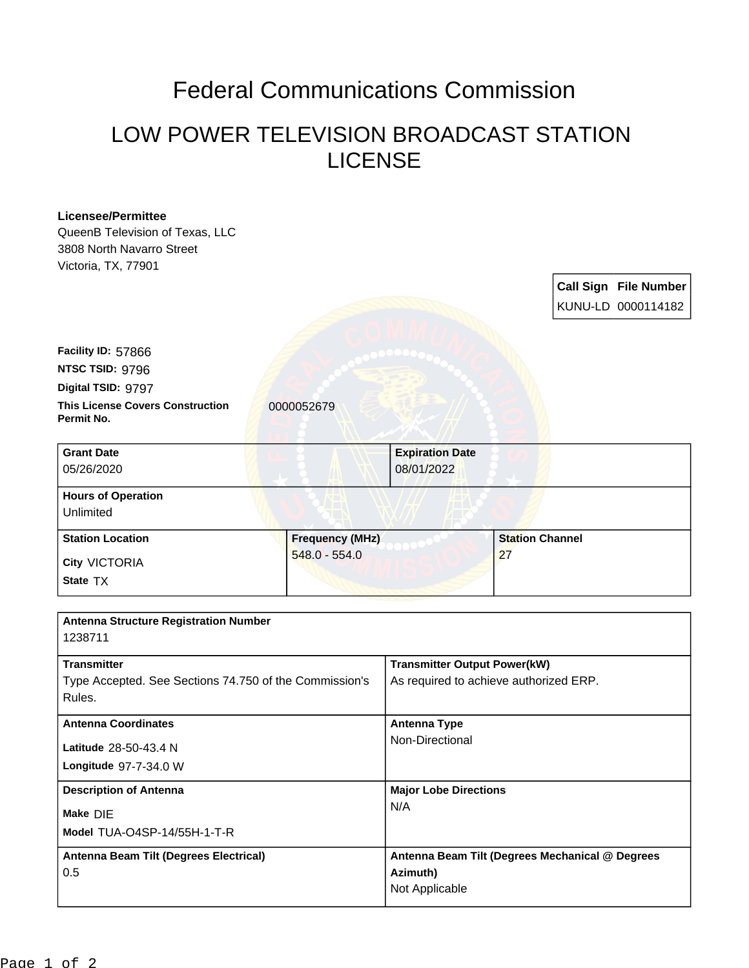## Federal Communications Commission

## LOW POWER TELEVISION BROADCAST STATION LICENSE

| <b>Licensee/Permittee</b>                                                    |                        |                                                                               |                        |                              |  |
|------------------------------------------------------------------------------|------------------------|-------------------------------------------------------------------------------|------------------------|------------------------------|--|
| QueenB Television of Texas, LLC                                              |                        |                                                                               |                        |                              |  |
| 3808 North Navarro Street                                                    |                        |                                                                               |                        |                              |  |
| Victoria, TX, 77901                                                          |                        |                                                                               |                        |                              |  |
|                                                                              |                        |                                                                               |                        | <b>Call Sign File Number</b> |  |
|                                                                              |                        |                                                                               |                        | KUNU-LD 0000114182           |  |
|                                                                              |                        |                                                                               |                        |                              |  |
|                                                                              |                        |                                                                               |                        |                              |  |
| Facility ID: 57866                                                           |                        |                                                                               |                        |                              |  |
| NTSC TSID: 9796                                                              |                        |                                                                               |                        |                              |  |
| Digital TSID: 9797                                                           |                        |                                                                               |                        |                              |  |
| <b>This License Covers Construction</b><br>Permit No.                        | 0000052679             |                                                                               |                        |                              |  |
| <b>Grant Date</b>                                                            |                        | <b>Expiration Date</b>                                                        |                        |                              |  |
| 05/26/2020                                                                   |                        | 08/01/2022                                                                    |                        |                              |  |
| <b>Hours of Operation</b>                                                    |                        |                                                                               |                        |                              |  |
| Unlimited                                                                    |                        |                                                                               |                        |                              |  |
| <b>Station Location</b>                                                      | <b>Frequency (MHz)</b> |                                                                               | <b>Station Channel</b> |                              |  |
| <b>City VICTORIA</b>                                                         | $548.0 - 554.0$        |                                                                               | 27                     |                              |  |
| State TX                                                                     |                        |                                                                               |                        |                              |  |
|                                                                              |                        |                                                                               |                        |                              |  |
| <b>Antenna Structure Registration Number</b>                                 |                        |                                                                               |                        |                              |  |
| 1238711                                                                      |                        |                                                                               |                        |                              |  |
|                                                                              |                        |                                                                               |                        |                              |  |
| <b>Transmitter</b><br>Type Accepted. See Sections 74.750 of the Commission's |                        | <b>Transmitter Output Power(kW)</b><br>As required to achieve authorized ERP. |                        |                              |  |
|                                                                              |                        |                                                                               |                        |                              |  |
| <b>Antenna Coordinates</b><br>Latitude 28-50-43.4 N                          |                        | <b>Antenna Type</b>                                                           |                        |                              |  |
|                                                                              |                        | Non-Directional                                                               |                        |                              |  |
| Longitude 97-7-34.0 W                                                        |                        |                                                                               |                        |                              |  |
|                                                                              |                        |                                                                               |                        |                              |  |
| <b>Description of Antenna</b><br>Make DIE                                    |                        | <b>Major Lobe Directions</b>                                                  |                        |                              |  |
|                                                                              |                        | N/A                                                                           |                        |                              |  |
| Model TUA-O4SP-14/55H-1-T-R                                                  |                        |                                                                               |                        |                              |  |
| Antenna Beam Tilt (Degrees Electrical)                                       |                        | Antenna Beam Tilt (Degrees Mechanical @ Degrees                               |                        |                              |  |
| 0.5                                                                          |                        | Azimuth)                                                                      |                        |                              |  |
|                                                                              |                        | Not Applicable                                                                |                        |                              |  |
|                                                                              |                        |                                                                               |                        |                              |  |